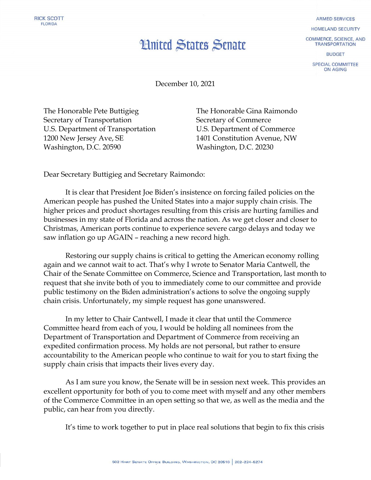## **Hnited States Senate**

**ARMED SERVICES** 

HOMELAND SECURITY

**COMMERCE, SCIENCE, AND TRANSPORTATION** 

**BUDGET** 

SPECIAL COMMITTEE ON AGING

December 10, 2021

The Honorable Pete Buttigieg Secretary of Transportation U.S. Department of Transportation 1200 New Jersey Ave, SE Washington, D.C. 20590

The Honorable Gina Raimondo Secretary of Commerce U.S. Department of Commerce 1401 Constitution Avenue, NW Washington, D.C. 20230

Dear Secretary Buttigieg and Secretary Raimondo:

It is clear that President Joe Biden's insistence on forcing failed policies on the American people has pushed the United States into a major supply chain crisis. The higher prices and product shortages resulting from this crisis are hurting families and businesses in my state of Florida and across the nation. As we get closer and closer to Christmas, American ports continue to experience severe cargo delays and today we saw inflation go up AGAIN – reaching a new record high.

Restoring our supply chains is critical to getting the American economy rolling again and we cannot wait to act. That's why I wrote to Senator Maria Cantwell, the Chair of the Senate Committee on Commerce, Science and Transportation, last month to request that she invite both of you to immediately come to our committee and provide public testimony on the Biden administration's actions to solve the ongoing supply chain crisis. Unfortunately, my simple request has gone unanswered.

In my letter to Chair Cantwell, I made it clear that until the Commerce Committee heard from each of you, I would be holding all nominees from the Department of Transportation and Department of Commerce from receiving an expedited confirmation process. My holds are not personal, but rather to ensure accountability to the American people who continue to wait for you to start fixing the supply chain crisis that impacts their lives every day.

As I am sure you know, the Senate will be in session next week. This provides an excellent opportunity for both of you to come meet with myself and any other members of the Commerce Committee in an open setting so that we, as well as the media and the public, can hear from you directly.

It's time to work together to put in place real solutions that begin to fix this crisis